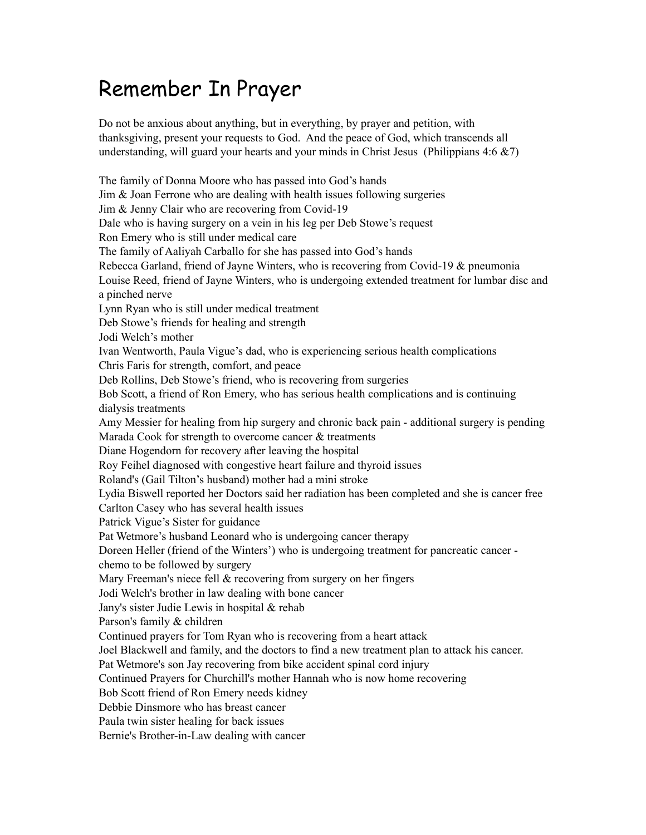## Remember In Prayer

Do not be anxious about anything, but in everything, by prayer and petition, with thanksgiving, present your requests to God. And the peace of God, which transcends all understanding, will guard your hearts and your minds in Christ Jesus (Philippians  $4:6 \& 7$ )

The family of Donna Moore who has passed into God's hands Jim & Joan Ferrone who are dealing with health issues following surgeries Jim & Jenny Clair who are recovering from Covid-19 Dale who is having surgery on a vein in his leg per Deb Stowe's request Ron Emery who is still under medical care The family of Aaliyah Carballo for she has passed into God's hands Rebecca Garland, friend of Jayne Winters, who is recovering from Covid-19 & pneumonia Louise Reed, friend of Jayne Winters, who is undergoing extended treatment for lumbar disc and a pinched nerve Lynn Ryan who is still under medical treatment Deb Stowe's friends for healing and strength Jodi Welch's mother Ivan Wentworth, Paula Vigue's dad, who is experiencing serious health complications Chris Faris for strength, comfort, and peace Deb Rollins, Deb Stowe's friend, who is recovering from surgeries Bob Scott, a friend of Ron Emery, who has serious health complications and is continuing dialysis treatments Amy Messier for healing from hip surgery and chronic back pain - additional surgery is pending Marada Cook for strength to overcome cancer & treatments Diane Hogendorn for recovery after leaving the hospital Roy Feihel diagnosed with congestive heart failure and thyroid issues Roland's (Gail Tilton's husband) mother had a mini stroke Lydia Biswell reported her Doctors said her radiation has been completed and she is cancer free Carlton Casey who has several health issues Patrick Vigue's Sister for guidance Pat Wetmore's husband Leonard who is undergoing cancer therapy Doreen Heller (friend of the Winters') who is undergoing treatment for pancreatic cancer chemo to be followed by surgery Mary Freeman's niece fell & recovering from surgery on her fingers Jodi Welch's brother in law dealing with bone cancer Jany's sister Judie Lewis in hospital & rehab Parson's family & children Continued prayers for Tom Ryan who is recovering from a heart attack Joel Blackwell and family, and the doctors to find a new treatment plan to attack his cancer. Pat Wetmore's son Jay recovering from bike accident spinal cord injury Continued Prayers for Churchill's mother Hannah who is now home recovering Bob Scott friend of Ron Emery needs kidney Debbie Dinsmore who has breast cancer Paula twin sister healing for back issues Bernie's Brother-in-Law dealing with cancer